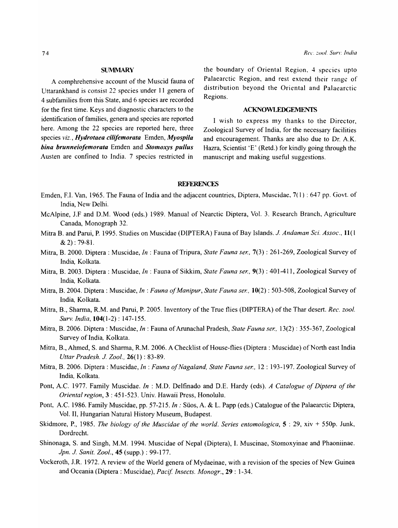## **SUMMARY**

A comphrehensive account of the Muscid fauna of Uttarankhand is consist 22 species under 11 genera of 4 subfamilies from this State, and 6 species are recorded for the first time. Keys and diagnostic characters to the identification of families, genera and species are reported here. Among the 22 species are reported here, three species *viz., Hydrotaea cjlifemorata* Emden, *Myospi/a bina brunneiofemorata* Emden and *Stomoxys pullus*  Austen are confined to India. 7 species restricted in

the boundary of Oriental Region, 4 species upto Palaearctic Region, and rest extend their range of distribution beyond the Oriental and Palaearctic Regions.

# ACKNOWLEDGEMENTS

I wish to express my thanks to the Director, Zoological Survey of India, for the necessary facilities and encouragement. Thanks are also due to Dr. A.K. Hazra, Scientist 'E' (Retd.) for kindly going through the manuscript and making useful suggestions.

# **REFERENCES**

- Emden, F.1. Van, 1965. The Fauna of India and the adjacent countries, Diptera, Muscidae, 7( I) : 647 pp. Govt. of India, New Delhi.
- McAlpine, J.F and D.M. Wood (eds.) 1989. Manual of Nearctic Diptera, Vol. 3. Research Branch, Agriculture Canada, Monograph 32.
- Mitra B. and Pami, P. 1995. Studies on Muscidae (DIPTERA) Fauna of Bay Islands. 1. *Andaman Sci. Assoc.,* 11(1  $& 2) : 79-81.$
- Mitra, B. 2000. Diptera : Muscidae, *In* : Fauna of Tripura, *State Fauna ser.*, 7(3) : 261-269, Zoological Survey of India, Kolkata.
- Mitra, B. 2003. Diptera: Muscidae, *In* : Fauna ofSikkim, *State Fauna ser.,* 9(3) : 401-411, Zoological Survey of India, Kolkata.
- Mitra, B. 2004. Diptera : Muscidae, *In* : *Fauna of Manipur, State Fauna ser.,* 10(2) : 503-508, Zoological Survey of India, Kolkata.
- Mitra, B., Sharma, R.M. and Pami, P. 2005. Inventory of the Tme flies (DIPTERA) of the Thar desert. *Rec. zool. Surv. India,* 104(1-2) : 147-155.
- Mitra, B. 2006. Diptera : Muscidae, *In* : Fauna of Arunachal Pradesh, *State Fauna ser.,* 13(2) : 355-367, Zoological Survey of India, Kolkata.
- Mitra, B., Ahmed, S. and Sharma, R.M. 2006. A Checklist of House-flies (Diptera : Muscidae) of North east India *Uttar Pradesh.* 1. *Zool.,* 26(1) : 83-89.
- Mitra, B. 2006. Diptera: Muscidae, *In: Fauna of Nagaland, State Fauna ser.*, 12: 193-197. Zoological Survey of India, Kolkata.
- Pont, A.C. 1977. Family Muscidae. *In* : M.D. Delfinado and D.E. Hardy (eds). *A Catalogue of Diptera of the Oriental region,* 3 : 451-523. Univ. Hawaii Press, Honolulu.
- Pont, A.C. 1986. Family Muscidae, pp. 57-215. *In* : Süos, A. & L. Papp (eds.) Catalogue of the Palaearctic Diptera, Vol. II, Hungarian Natural History Museum, Budapest.
- Skidmore, P., 1985. *The biology of the Muscidae of the world. Series entomologica,* 5 : 29, xiv + 550p. Junk, Dordrecht.
- Shinonaga, S. and Singh, M.M. 1994. Muscidae of Nepal (Diptera), I. Muscinae, Stomoxyinae and Phaoniinae. *Jpn.1. Sanit. Zool.,* 45 (supp.) : 99-177.
- Vockeroth, J.R. 1972. A review of the World genera of Mydaeinae, with a revision of the species of New Guinea and Oceania (Diptera : Muscidae), *Pacif. Insects. Monogr.,* 29 : 1-34.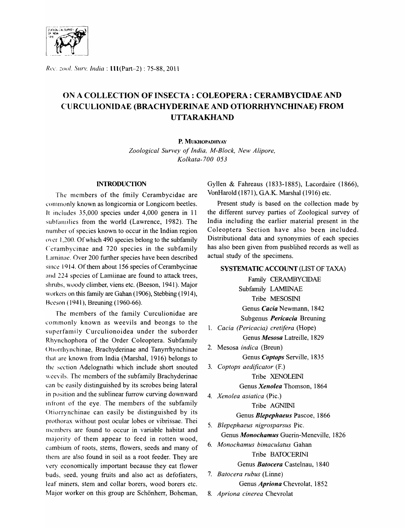

Rec. zool. Surv. India: 111(Part-2): 75-88, 2011

# ON A COLLECTION OF INSECTA: COLEOPERA : CERAMBYCIDAE AND CURCULIONIDAE (BRACHYDERINAE AND OTIORRHYNCHINAE) FROM UTTARAKHAND

P. MUKHOPADHYAY

*Zoological Survey of India, M-Block, New Alipore, Kolkata-700 053* 

# INTRODUCTION

The members of the fmily Cerambycidae are commonly known as longicomia or Longicom beetles. It includes 35,000 species under 4,000 genera in 11 subfamilies from the world (Lawrence, 1982). The numher of species known to occur in the Indian region over 1,200. Of which 490 species belong to the subfamily Cerambycinae and 720 species in the subfamily Laminae. Over 200 further species have been described since 1914. Of them about 156 species of Cerambycinae and 224 species of Lamiinae are found to attack trees, shrubs, woody climber, viens etc. (Beeson, 1941). Major workers on this family are Gahan (1906), Stebbing (1914), Beeson ( 1941), Breuning (1960-66).

The members of the family Curculionidae are commonly known as weevils and beongs to the superfamily Curculionoidea under the suborder Rhynchophora of the Order Coleoptera. Subfamily Ottorrhynchinae, Brachyderinae and Tanyrrhynchinae that are known from India (Marshal, 1916) belongs to the section Adelognathi which include short snouted weevils. The members of the subfamily Brachyderinae can be easily distinguished by its scrobes being lateral in position and the sublinear furrow curving downward infront of the eye. The members of the subfamily Otiorrynchinae can easily be distinguished by its prothorax without post ocular lobes or vibrissae. Thei members are found to occur in variable habitat and majority of them appear to feed in rotten wood, cambium of roots, stems, flowers, seeds and many of them are also found in soil as a root feeder. They are very economically important because they eat flower buds, seed, young fruits and also act as defofiaters, leaf miners, stem and collar borers, wood borers etc. Major worker on this group are Schönherr, Boheman,

Gyllen & Fahreaus (1833-1885), Lacordaire (1866), VonHarold (1871), GA.K. Marshal (1916) etc.

Present study is based on the collection made by the different survey parties of Zoological survey of India including the earlier material present in the Coleoptera Section have also been included. Distributional data and synonymies of each species has also been given from pusblihed records as well as actual study of the specimens.

# SYSTEMATIC ACCOUNT (LIST OF TAXA)

Family CERAMBYCIDAE Subfamily LAMIINAE Tribe MESOSINI Genus *Cacia* Newmann, 1842 Subgenus *Pericacia* Breuning

1. *Cacia (Pericacia) cretifera* (Hope) Genus *Mesosa* Latreille, 1829

- 2. Mesosa *indica* (Breun) Genus *Coptops* Serville, 1835
- 3. Coptops aedificator (F.) Tribe XENOLEINI Genus *Xenolea* Thomson, 1864
- *4. Xenolea asiatica* (Pic.) Tribe AGNIINI Genus *Blepephaeus* Pascoe, 1866
- *5. Blepephaeus nigrosparsus* Pic. Genus *Monochamus* Guerin-Meneville, 1826
- *6. Monochamus bimaculatus* Gahan Tribe BATOCERINI

Genus *Batocera* Castelnau, 1840

*7. Batocera rubus* (Linne)

Genus *Apriona* Chevrolat, 1852

8. *Apriona cinerea* Chevrolat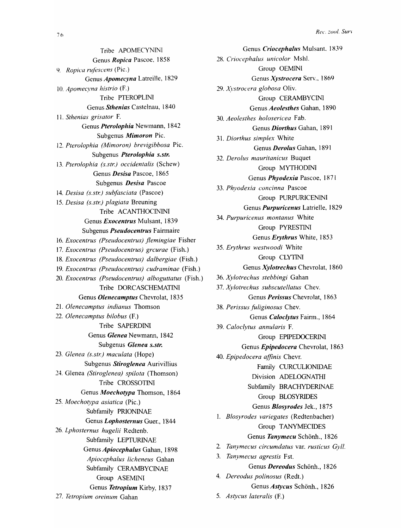Tribe APOMECYNINI Genus *Ropica* Pascoe, 1858 *9. Ropica rufescens* (Pic.) Genus *Apomecyna* Latreille, 1829 *10. Apomecyna histrio* (F.) Tribe PTEROPLINI Genus *Sthenias* Castelnau, 1840 11. *Sthenias grisator* F. Genus *Pterolophia* Newmann, 1842 Subgenus *Mimoron* Pic. *12. Pterolophia (Mimoron) brevigibbosa* Pic. Subgenus *Pterolophia s.str. 13. Pterolophia (s.str.) occidentalis* (Schew) Genus *Desisa* Pascoe, 1865 Subgenus *Desisa* Pascoe *14. Desisa (s.str.) subfasciata* (Pascoe) *15. Desisa (s.str.) plagiata* Breuning Tribe ACANTHOCININI Genus *Exocentrus* Mulsant, 1839 Subgenus *Pseudocentrus* Fairmaire *16. Exocentrus (Pseudocentrus) jlemingiae* Fisher *17. Exocentrus (Pseudocentrus) grcurae* (Fish.) 18. *Exocentrus (Pseudocentrus) dalbergiae* (Fish.) *19. Exocentrus (Pseudocentrus) cudraminae* (Fish.) *20. Exocentrus (Pseudocentrus) alboguttatus* (Fish.) Tribe DORCASCHEMATINI Genus *Olenecamptus* Chevrolat, 1835 21. Olenecamptus indianus Thomson *22. Olenecamptus bilobus* (F.) Tribe SAPERDINI Genus *Glenea* Newmann, 1842 Subgenus *Glenea s.str. 23. Glenea (s.str.) maculata* (Hope) Subgenus *Stiroglenea* Aurivillius 24. Glenea *(Stiroglenea) spilota* (Thomson) Tribe CROSSOTINI Genus *Moechotypa* Thomson, 1864 *25: Moechotypa asiatica* (Pic.) Subfamily PRIONINAE Genus *Lophosternus* Guer., 1844 *26. Lphosternus hugelii* Redtenb. Subfamily LEPTURINAE Genus *Apiocephalus* Gahan, 1898 *Apiocephalus licheneus* Gahan Subfamily CERAMBYCINAE Group ASEMINI Genus *Tetropium* Kirby, 1837 *27. Tetropium oreinum* Gahan

Genus *Criocephalus* Mulsant, 1839 *28. Criocephalus unicolor* Mshl. Group OEMINI Genus *Xystrocera* Serv., 1869 29. Xystrocera globosa Oliv. Group CERAMBYCINI Genus *Aeolesthes* Gahan, 1890 *30. Aeolesthes holosericea* Fab. Genus *Diorthus* Gahan, 1891 *31. Diorthus simplex* White Genus *Deroilis* Gahan, 1891 *32. Derolus mauritanicus* Buquet Group MYTHODINI Genus *Phyodexia* Pascoe, 1871 *33. Phyodexia concinna* Pascoe Group PURPURICENINI Genus *Purpuricenus* Latrielle, 1829 *34. Purpuricenus montanus* White Group PYRESTINI Genus *Erythrus* White, 1853 *35. Erythrus westwoodi* White Group CLYTINI Genus *Xylotrechus* Chevrolat, 1860 *36. Xylotrechus stebbingi* Gahan *37. Xylotrechus subscutellatus* Chev. Genus *Perissus* Chevrolat, 1863 *38. Perissus fuliginosus* Chev. Genus *Caloclytus* Fairm., 1864 *39. Caloclytus annularis* F. Group EPIPEDOCERINI Genus *Epipedocera* Chevrolat, 1863 *40. Epipedocera affinis* Chevr. Family CURCULIONIDAE Division ADELOGNATHI Subfamily BRACHYDERINAE Group BLOSYRIDES Genus *Blosyrodes* Jek., 1875 1. *Blosyrodes variegates* (Redtenbacher) Group TANYMECIDES Genus *Tanymecu* Schönh., 1826 *2. Tanymecus circumdatus* var. *rusticus Gyll. 3. Tanymecus agrestis* Fst. Genus *Dereodus* Schönh., 1826 *4. Dereodus polinosus* (Redt.) Genus *Astycus* Schönh., 1826 *5. Astycus lateralis* (F.)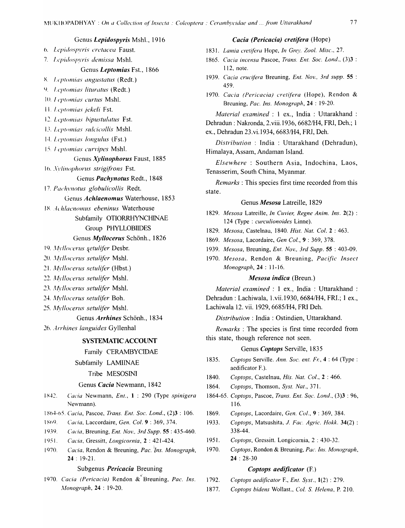# Genus Lepidospyris Mshl., 1916

- 6. Lepidospyris cretacea Faust.
- 7. Lepidospyris demissa Mshl.

# Genus Leptomias Fst., 1866

- 8. Leptomias angustatus (Redt.)
- 9. Leptomias lituratus (Redt.)
- 10. Leptomias curtus Mshl.
- 11. Leptomias jekeli Fst.
- 12. Leptomias bipustulatus Fst.
- 13. Leptomias sulcicollis Mshl.
- 14. Leptomias longulus (Fst.)
- 15. Leptomias curvipes Mshl.

# Genus Xylinophorus Faust, 1885

16. Aylinophorus strigifrons Fst.

## Genus Pachynotus Redt., 1848

17. Pachynotus globulicollis Redt.

Genus Achlaenomus Waterhouse, 1853

- 18. Achlaenomus ebeninus Waterhouse
	- Subfamily OTIORRHYNCHINAE

# Group PHYLLOBIIDES

## Genus Myllocerus Schönh., 1826

- 19. Myllocerus şetulifer Desbr.
- 20. Myllocerus setulifer Mshl.
- 21. Myllocerus setulifer (Hbst.)
- 22. Myllocerus setulifer Mshl.
- 23. Myllocerus setulifer Mshl.
- 24. Myllocerus setulifer Boh.
- 25. Myllocerus setulifer Mshl.
- Genus Arrhines Schönh., 1834
- 26. Arrhines languides Gyllenhal

# **SYSTEMATIC ACCOUNT**

## Family CERAMBYCIDAE

Subfamily LAMINAE

#### Tribe MESOSINI

## Genus Cacia Newmann, 1842

- 1842. Cacia Newmann, Ent., 1: 290 (Type spinigera Newmann).
- 1864-65. Cacia, Pascoe, Trans. Ent. Soc. Lond., (2)3: 106.
- Cacia, Laccordaire, Gen. Col. 9:369, 374. 1869.
- 1939. Cacia, Breuning, Ent. Nov., 3rd Supp. 55: 435-460.
- $1951.$ Cacia, Gressitt, Longicornia, 2: 421-424.
- $1970.$ Cacia, Rendon & Breuning, Pac. Ins. Monograph,  $24:19-21.$

# Subgenus *Pericacia* Breuning

1970. Cacia (Pericacia) Rendon & Breuning, Pac. Ins. Monograph, 24: 19-20.

## Cacia (Pericacia) cretifera (Hope)

1831. Lamia cretifera Hope, In Grey. Zool. Misc., 27.

- 1865. Cacia incensa Pascoe, Trans. Ent. Soc. Lond., (3)3 : 112, note.
- 1939. Cacia crucifera Breuning, Ent. Nov., 3rd supp. 55 : 459.
- 1970. Cacia (Pericacia) cretifera (Hope), Rendon & Breuning, Pac. Ins. Monograph, 24: 19-20.

Material examined : 1 ex., India : Uttarakhand : Dehradun: Nakronda, 2.viii.1936, 6682/H4, FRI, Deh.; 1 ex., Dehradun 23.vi.1934, 6683/H4, FRI, Deh.

Distribution: India: Uttarakhand (Dehradun), Himalaya, Assam, Andaman Island.

Elsewhere: Southern Asia, Indochina, Laos, Tenasserim, South China, Myanmar.

*Remarks*: This species first time recorded from this state.

## Genus Mesosa Latreille. 1829

- 1829. Mesosa Latreille, In Cuvier, Regne Anim. Ins. 2(2): 124 (Type : curculionoides Linne).
- 1829. Mesosa, Castelnau, 1840. Hist. Nat. Col. 2:463.
- 1869. Mesosa, Lacordaire, Gen Col., 9:369, 378.
- 1939. Mesosa, Breuning, Ent. Nov., 3rd Supp. 55:403-09.
- 1970. Mesosa, Rendon & Breuning, Pacific Insect Monograph, 24: 11-16.

#### *Mesosa indica* (Breun.)

Material examined : 1 ex., India : Uttarakhand : Dehradun: Lachiwala, 1.vii.1930, 6684/H4, FRI.; 1 ex., Lachiwala 12. vii. 1929, 6685/H4, FRI Deh.

Distribution: India: Ostindien, Uttarakhand.

*Remarks*: The species is first time recorded from this state, though reference not seen.

# Genus Coptops Serville, 1835

- 1835. Coptops Serville. Ann. Soc. ent. Fr., 4:64 (Type: aedificator F.).
- 1840. Coptops, Castelnau, His. Nat. Col., 2:466.
- 1864. Coptops, Thomson, Syst. Nat., 371.
- 1864-65. Coptops, Pascoe, Trans. Ent. Soc. Lond., (3)3: 96, 116.
- 1869. Coptops, Lacordaire, Gen. Col., 9:369, 384.
- 1933. Coptops, Matsushita, J. Fac. Agric. Hokk. 34(2): 338-44.
- 1951. Coptops, Gressitt. Longicornia, 2: 430-32.
- 1970. Coptops, Rondon & Breuning, Pac. Ins. Monograph,  $24:28-30$

#### Coptops aedificator (F.)

- 1792. Coptops aedificator F., Ent. Syst., 1(2): 279.
- 1877. Coptops bidens Wollast., Col. S. Helena, P. 210.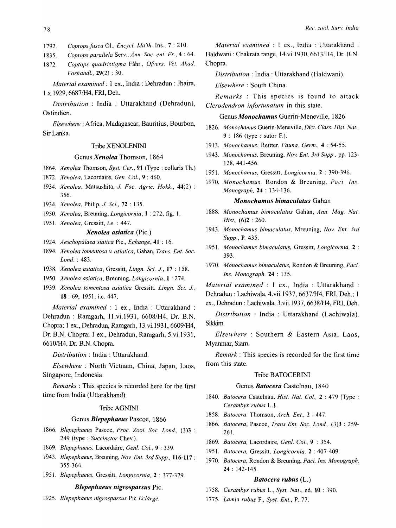1792. *Coptopsfusea* 01., *Eneyc/. Ma'rh.* Ins., 7 : 210.

1835. *Coptops parallela* Serv., *Ann. Soc. ent. Fr.,* 4 : 64.

1872. *Coptops quadristigma* Fahr., *Givers. Vet. Akad. Forhandl.,* 29(2) : 30.

*Material examined:* 1 ex., India: Dehradun : Jhaira, l.x.1929, 6687fH4, FRI, Deh.

*Distribution* : India : Uttarakhand (Dehradun), Ostindien.

*Elsewhere:* Africa, Madagascar, Bauritius, Bourbon, Sir Lanka.

# Tribe XENOLENINl

## Genus *Xenolea* Thomson, 1864

*1864. Xenolea* Thomson, *Syst. Cer.,* 91 (Type: collaris Th.)

- *1872. Xenolea,* Lacordaire, *Gen. Col.,* 9 : 460.
- *1934. Xenolea,* Matsushita, *J. Fac. Agric. Hokk., 44(2)*  356.
- *1934. Xenolea,* Philip, *J. Sci.,* 72 : 135.
- *1950. Xenolea,* Breuning, *Longicornia,* 1 : 272, fig. 1.
- *1951. Xenolea,* Gressitt, *i.e.* : 447.

# *Xenolea asiatica* (Pic.)

*1924. Aeschopalaea siatica* Pic., *Echange,* 41 : 16.

- *1894. Xenolea tomentosa* v. *asiatica,* Gahan, *Trans. Ent. Soc. Lond.* : 483.
- *1938. Xenolea asiatica,* Gressitt, *Lingn. Sci.* J., 17 : 158.
- *1950. Xenolea asiatica,* Breuning, *Longicornia,* 1 : 274.
- *1939. Xenolea tomentosa asiatica* Gressitt. *Lingn. Sci. J.,*  18 : 69; 1951, i.c. 447.

*Material examined:* 1 ex., India: Uttarakhand : Dehradun : Ramgarh, 11. vi. 1931, 6608/H4, Dr. B.N. Chopra; 1 ex., Dehradun, Ramgarh, 13.vi.1931, 6609/H4, Dr. B.N. Chopra; 1 ex., Dehradun, Ramgarh, 5.vi.1931, 6610/H4, Dr. B.N. Chopra.

*Distribution* : India: Uttarakhand.

*Elsewhere:* North Vietnam, China, Japan, Laos, Singapore, Indonesia.

*Remarks* : This species is recorded here for the first time from India (Uttarakhand).

## Tribe AGNINI

#### Genus *Blepephaeus* Pascoe, 1866

- *1866. Blepephaeus* Pascoe, *Proc. Zool. Soc. Lond., (3)3*  249 (type: *Succinctor* Chev.).
- *1869. Blepephaeus,* Lacordaire, *Genl. Col.,* 9 : 339.
- *1943. Blepephaeus,* Breuning, *Nov. Ent. 3rd Supp.,* 116-117 : 355-364.
- *1951. Blepephaeus,* Gressitt, *Longicornia,* 2 : 377-379.

## *Blepephaeus nigrosparsus* Pic.

*1925. Blepephaeus nigrosparsus* Pic *Eclarge.* 

*Material examined* : 1 ex., India : Uttarakhand : Haldwani : Chakrata range, 14.vi.1930, 6613/H4, Dr. B.N. Chopra.

*Distribution:* India: Uttarakhand (Haldwani).

*Elsewhere:* South China.

*Remarks* : This species is found to attack *Clerodendron inJortunatum* in this state.

## Genus *Monochamus* Guerin-Meneville, 1826

- *1826. Monochamus* Guerin-Meneville, *Dict. Class. Hist. Nat ..*  9 : 186 (type: sutor F.).
- *1913. Monochamus,* Reitter. *Fauna. Germ,.* 4 : 54-55.
- *1943. Monochamus,* Breuning, *Nov. En!. 3rd Supp.,* pp. 123- 128,441-456.
- *1951. Monochamus,* Gressitt, *Longieomia,* 2 : 390-396.
- *1970. Monochamus,* Rondon & Breuning. *Paci. Ins. Monograph,* 24 : 134-136.

## *Monochamus bimaculatus* Gahan

- *1888. Monochamus bimaculatus* Gahan, *Ann. Mag. Nat. Hist.,* (6)2 : 260.
- *1943. Monochamus bimaculatus,* Mreuning, *Nov. Ent. 3rd Supp.,* P. 435.
- *1951. Monochamus bimaculatus,* Gressitt, *Longicornia,* 2 : 393.
- *1970. Monochamus bimaculatus,* Rondon & Breuning, *Paci. Ins. Monograph.* 24 : 135.

*Material examined* : 1 ex., India : Uttarakhand : Dehradun: Lachiwala, 4.vii.1937, 66371H4, FRI, Deh.; 1

ex., Dehradun : Lachiwala, 3.vii.1937, 6638/H4, FRI, Deh.

*Distribution* : India : Uttarakhand (Lachiwala). Sikkim.

*Elsewhere* : Southern & Eastern Asia, Laos, Myanmar, Siam.

*Remark:* This species is recorded for the first time from this state.

#### Tribe BATOCERINI

## Genus *Batocera* Castelnau, 1840

- *1840. Batocera* Castelnau, *Hist. Nat, Col.,* 2 : 479 [Type: *Cerambyx rubus* L.].
- *1858. Batocera.* Thomson, *Arch. Ent.,* 2 : 447.
- *1866. Batocera,* Pascoe, *Trans Ent. Soc. Lond..* (3)3 : 259- 261.
- *1869. Batocera,* Lacordaire, *Genl. Col.,* 9 : 354.
- *1951. Batocera,* Gressitt. *Longicornia,* 2 : 407-409.
- *1970. Batocera,* Rondon & Breuning, *Paci. Ins. Monograph,*  24 : 142-145.

#### *Batocera rubus* (L.)

- *1758. Cerambys rubus* L., *Syst. Nat.,* ed. 10 : 390.
- *1775. Lamia rubus* F., *Syst. Ent.,* P. 77.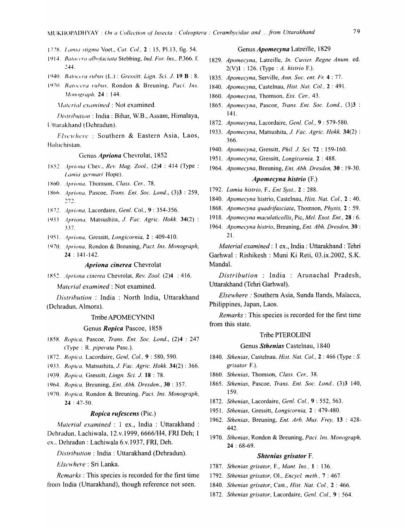- 1778. Lamia stigma Voet., Cat. Col., 2:15, Pl.13, fig. 54.
- 1914. Batacera albofaciata Stebbing, Ind. For. Ins., P.366. f.  $7.11$
- 1940. Batocera rubus (L.): Gressitt. Lign. Sci. J. 19 B: 8.
- 1970. Batocera rubus, Rondon & Breuning, Paci. Ins. Monograph, 24: 144.
	- Material examined : Not examined.

Distribution: India: Bihar, W.B., Assam, Himalaya, Uttarakhand (Dehradun).

Elsewhere: Southern & Eastern Asia, Laos, Baluchistan.

#### Genus Apriona Chevrolat, 1852

- 1852. Apriona Chev., Rev. Mag. Zool., (2)4: 414 (Type: Lamia germari Hope).
- 1860. Apriona, Thomson, Class. Cer., 78.
- 1866. Apriona, Pascoe, Trans. Ent. Soc. Lond., (3)3 : 259, 272.
- 1872. Apriona, Lacordaire, Genl. Col., 9:354-356.
- 1933 Apriona, Matsushita, J. Fac. Agric. Hokk. 34(2): 337.
- 1951. Apriona, Gressitt, Longicornia, 2: 409-410.
- 1970. Apriona, Rondon & Breuning, Pact. Ins. Monograph,  $24:141-142.$

# Apriona cinerea Chevrolat

1852. Apriona cinerea Chevrolat, Rev. Zool. (2)4 : 416.

Material examined : Not examined.

Distribution : India : North India, Uttarakhand (Dehradun, Almora).

#### Trribe APOMECYNINI

#### Genus Ropica Pascoe, 1858

- 1858. Ropica, Pascoe, Trans. Ent. Soc. Lond., (2)4 : 247 (Type: R. piperata Pasc.).
- 1872. Ropica, Lacordaire, Genl, Col., 9:580, 590.
- 1933. Ropica, Matsushita, J. Fac. Agric. Hokk. 34(2): 366.
- 1939. Ropica, Gressitt, Lingn. Sci. J. 18:78.
- 1964. Ropica, Breuning, Ent. Abh. Dresden., 30:357.
- 1970. Ropica, Rondon & Breuning, Paci. Ins. Monograph,  $24:47-50.$

### *Ropica rufescens* (Pic.)

Material examined : 1 ex., India : Uttarakhand : Dehradun, Lachiwala, 12.v.1999, 6666/H4, FRI Deh; 1 ex., Dehradun: Lachiwala 6.v.1937, FRI, Deh.

Distribution : India : Uttarakhand (Dehradun).

Elsewhere: Sri Lanka.

*Remarks*: This species is recorded for the first time from India (Uttarakhand), though reference not seen.

#### Genus *Apomecyna* Latreille, 1829

- 1829. Apomecyna, Latreille, In. Cuvier. Regne Anum. ed.  $2(V)1$ : 126. (Type: A. histrio F.).
- 1835. Apomecyna, Serville, Ann. Soc. ent. Fr. 4:77.
- 1840. Apomecyna, Castelnau, Hist. Nat. Col., 2:491.
- 1860. Apomecyna, Thomson, Ess. Cer., 43.
- 1865. Apomecyna, Pascoe, Trans. Ent. Soc. Lond., (3)3 : 141.
- 1872. Apomecyna, Lacordaire, Genl. Col., 9:579-580.
- 1933. Apomecyna, Matsushita, J. Fac. Agric. Hokk. 34(2): 366.
- 1940. Apomecyna, Gressitt, Phil. J. Sci. 72: 159-160.
- 1951. Apomecyna, Gressitt, Longicornia, 2: 488.
- 1964. Apomecyna, Breuning, Ent. Abh. Dresden, 30: 19-30.

# Apomecyna histrio (F.)

- 1792. Lamia histrio, F., Ent Syst., 2 : 288.
- 1840. Apomecyna histrio, Castelnau, Hist. Nat. Col., 2:40.
- 1868. Apomecyna quadrifasciata, Thomson, Physis, 2:59.
- 1918. Apomecyna maculaticollis, Pic, Mel. Exot. Ent., 28 : 6.
- 1964. Apomecyna histrio, Breuning, Ent. Abh. Dresden, 30:  $21$

Material examined : 1 ex., India : Uttarakhand : Tehri Garhwal: Rishikesh: Muni Ki Reti, 03.ix.2002, S.K. Mandal.

Distribution : India : Arunachal Pradesh, Uttarakhand (Tehri Garhwal).

Elsewhere: Southern Asia, Sunda Ilands, Malacca, Philippines, Japan, Laos.

*Remarks*: This species is recorded for the first time from this state.

## Tribe PTEROLIINI

## Genus Sthenias Castelnau, 1840

- 1840. Sthenias, Castelnau. Hist. Nat. Col., 2:466 (Type: S. grisator F.).
- 1860. Sthenias, Thomson, Class. Cer., 38.
- 1865. Sthenias, Pascoe, Trans. Ent. Soc. Lond., (3)3 140, 159.
- 1872. Sthenias, Lacordaire, Genl. Col., 9:552, 563.
- 1951. Sthenias, Gressitt, Longicornia, 2: 479-480.
- 1962. Sthenias, Breuning, Ent. Arb. Mus. Frey, 13: 428-442.
- 1970. Sthenias, Rondon & Breuning, Paci. Ins. Monograph,  $24:68-69.$

#### **Shtenias grisator F.**

- 1787. Sthenias grisator, F., Mant. Ins., 1:136.
- 1792. Sthenias grisator, Ol., Encycl. meth., 7: 467.
- 1840. Sthenias grisator, Cast., Hist. Nat. Col., 2: 466.
- 1872. Sthenias grisator, Lacordaire, Genl. Col., 9:564.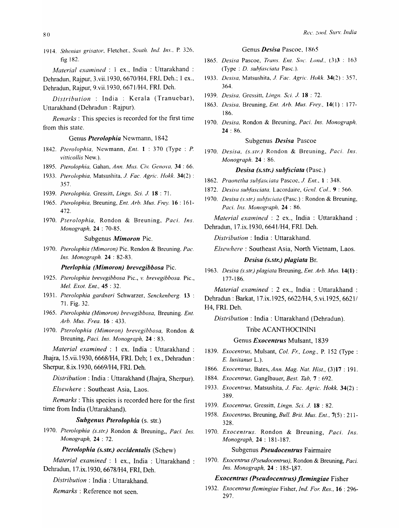1914. Sthenias grisator, Fletcher., South. Ind. Ins., P. 326, fig 182,

*";fa/erial examined* : 1 ex., India : Uttarakhand :

Dehradun, Rajpur, 3.vii.1930, 66701H4, FRI, Deh.; 1 ex., Dehradun, Rajpur, 9.vii.1930, 6671/H4, FRI. Deh.

*Distribution* : India : Kerala (Tranuebar), Uttarakhand (Dehradun : Rajpur).

*Remarks:* This species is recorded for the first time from this state.

#### Genus *Pterolophia* Newmann, 1842

- 1842. *Pterolophia.* Newmann, *Ent.* 1 : 370 (Type: P. *vittieollis* New.).
- 1895. *Pterolophia, Gahan, Ann. Mus. Civ. Genova*, 34:66.
- 1933. *Pterolophia.* Matsushita, 1. *Fae. Agric. Hokk.* 34(2) : 357.
- 1939. *Pterolophia.* Gressitt, *Lingn. Sci.* 1. 18 : 71.
- 1965. *Pterolophia,* Breuning, *En!. Arb. Mus. Frey.* 16 ; 161- 472.
- 1970. *Pterolophia,* Rondon & Breuning, *Paci. Ins. Monograph,* 24 : 70-85.

#### Subgenus *Mimoron* Pic.

1970. *Pterolophia (Mimoron)* Pic. Rendon & Breuning. *Pac. Ins. Monograph.* 24 : 82-83.

*Pterlophia (Mimoron) brevegibbosa* Pic.

- 1925. *Pterolophia brevegibbosa* Pic., *v. brevegibbosa.* Pic., *Mel. Exot. Ent.,* 45 : 32.
- 1931. *Pterolophia gardneri* Schwarzer, *Senekenberg.* 13 : 71. Fig. 32.
- 1965. *Pterolophia (Mimoron) brevegibbosa.* Breuning. *Ent. Arb. Mus. Frea.* 16 : 433.
- 1970. *Pterolophia (Mimoron) brevegibbosa,* Rondon & Breuning, *Pad. Ins. Monograph,* 24 : 83.

*Material examined:* 1 ex. India: Uttarakhand : Jhajra, 15.vii.1930, 66681H4, FRI. Deh; 1 ex., Dehradun :

Sherpur, 8.ix.1930, 66691H4, FRI. Deh.

*Distribution:* India: Uttarakhand (Jhajra, Sherpur).

*Elsewhere:* Southeast Asia, Laos.

*Remarks:* This species is recorded here for the first time from India (Uttarakhand).

## *Subgenus Pterolophia* (s. str.)

1970. Pterolophia (s.str.) Rondon & Breuning,, Paci. Ins. *Monograph.* 24 : 72.

*Pterolophia (s.str.) occidentalis* (Schew)

*Material examined:* 1 ex., India : Uttarakhand Dehradun, 17 .ix.1930, 66781H4, FRI, Deh.

*Distribution* : India : Uttarakhand.

*Remarks* : Reference not seen.

#### Genus *Desisa* Pascoe, I X65

- 1865. *Desisa* Pascoe, *TrailS.* Em. *Soc.* LOIld., (3)3 : 163 (Type: *D. subfasciata Pasc.*).
- 1933. *Desisa.* Matsushita, 1. *Fae. Agric. Hokk.* 34(2) : 357, 364.
- 1939. *Desisa.* Gressitt, *Lingn. Sci. J.* 18:72.
- 1863. *Desisa.* Breuning, *En!. Arb. Mus. Frey..* 14( 1) : 177- 186.
- 1970. *Desisa.* Rondon & Breuning, *Paci. Ins. Monograph.*  24 : 86.

#### Subgenus *Desisa* Pascoe

1970. *Desisa. (s.str.)* Rondon & Breuning, *Paei. Ins. Monograph.* 24 : 86.

# *Desisa (s.str.) subfsciata (Pasc.)*

- 1862. *Praonetha subfasciata Pascoe, J. Ent.,* 1:348.
- 1872. *Desisa subfasciata*, Lacordaire, Genl. Col., 9:566.
- 1970. *Desisa (s.str.) subfsciata* (Pasc.) : Rondon & Breuning, Paci. Ins. Monograph, 24:86.

*Material examined* : 2 ex., India : Uttarakhand Dehradun, 17.ix.l930, 66411H4, FRI. Deh.

*Distribution:* India: Uttarakhand.

*Elsewhere:* Southeast Asia, North Vietnam, Laos.

# *Desisa (s.str.) plagiata* Br.

1963. *Desisa (s.str.) plagiata* Breuning, *Ent. Arb. Mus.* 14(1) : 177-186.

*Material examined:* 2 ex., India : Uttarakhand : Dehradun: Barkat, 17.ix.1925, 66221H4, 5.vi.1925, 6621/ H4, FRI. Deh.

*Distribution:* India: Uttarakhand (Dehradun).

#### Tribe ACANTHOCININI

#### Genus *Exocentrus* Muisant, 1839

- 1839. *Exocentrus, Mulsant, Col. Fr., Long., P.* 152 (Type: E. *lusitanus* L.).
- 1866. *Exocentrus*, Bates, *Ann. Mag. Nat. Hist.*, (3)17 : 191.
- 1884. *Exocentrus.* Ganglbauer, *Best. Tab.* 7 : 692.
- 1933. *Exoeentrus.* Matsushita, 1. *Fae. Agrie. Hokk.* 34(2) : 389.
- 1939. *Exoeentrus,* Gressitt, *Lingn. Sci.* 1. 18 : 82.
- 1958. *Exoeentrus,* Breuning, *Bull. Brit. Mus. Ent.,* 7(5): 211- 328.
- 1970. *Exoeentrus.* Rondon & Breuning, *Paci. Ins. Monograph,* 24 : 181-187.

## Subgenus *Pseudocentrus* Fairmaire

1970. *Exoeentrus (Pseudoeentrus),* Rondon & Breuning, *Pad. Ins. Monograph,* **24** : 185-187.

# *Exocentrus (Pseudocentrus) jlemingiae* Fisher

1932. *Exoeentrns jlemingiae* Fisher, *Ind. For. Res.,* 16 : 296- 297.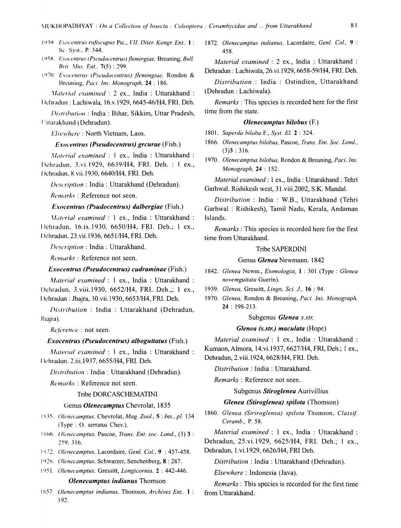- 1939 Exocentrus rufiscapus Pic., VII. INter. Kongr. Ent., 1: Sc. Syst., P. 344.
- 1958. Exocentrus (Pseudocentrus) flemingiae, Breuning, Bull. Brit Mus. Ent., 7(5): 299.
- 1970. Exocentrus (Pseudocentrus) flemingiae, Rondon & Breuning, Paci. Ins. Monograph, 24: 186.

Material examined : 2 ex., India : Uttarakhand : Dehradun : Lachiwala, 16.v.1929, 6645-46/H4, FRI. Deh.

Distribution: India: Bihar, Sikkim, Uttar Pradesh, **Huarakhand** (Dehradun).

Elsewhere: North Vietnam, Laos.

## *Exocentrus (Pseudocentrus) grourae (Fish.)*

Material examined : 1 ex., India : Uttarakhand : Dehradun, 3.vi.1929, 6639/H4, FRI. Deh. : 1 ex., Dehradun, 8.vii.1930, 6640/H4, FRI. Deh.

Description: India: Uttarakhand (Dehradun).

Remarks: Reference not seen.

#### *Exocentrus (Psudocentrus) dalbergiae (Fish.)*

Material examined : 1 ex., India : Uttarakhand : Dehradun, 16.ix.1930, 6650/H4, FRI. Deh.; 1 ex., Dehradun, 23.vii.1936, 6651/H4, FRI. Deh.

Description: India: Uttarakhand.

Remarks: Reference not seen.

# *Exocentrus (Pseudocentrus) cudraminae (Fish.)*

Material examined : 1 ex., India : Uttarakhand : Dehradun, 3.viii.1930, 6652/H4, FRI. Deh.,; 1 ex., Dehradun: Jhajra, 30.vii.1930, 6653/H4, FRI. Deh.

Distribution : India : Uttarakhand (Dehradun, Jhajra).

Reference : not seen.

#### **Exocentrus (Pseudocentrus) alboguttatus (Fish.)**

Material examined : 1 ex., India : Uttarakhand : Dehradun, 2.iii.1937, 6655/H4, FRI. Deh.

Distribution: India: Uttarakhand (Dehradun).

Remarks: Reference not seen.

# Tribe DORCASCHEMATINI

# Genus Olenecamptus Chevrolat, 1835

- 1835. Olenecamptus, Chevrolat, Mag. Zool., 5: Ins., pl. 134 (Type: O. serratus Chev.).
- 1866. Olenecamptus, Pascoe, Trans. Ent. soc. Lond., (3) 3: 259, 316.
- 1872. Olenecamptus, Lacordaire, Genl. Col., 9 : 457-458.
- 1926. Olenecamptus, Schwarzer, Senchenberg, 8:287.
- 1951. Olenecamptus, Gressitt, Longicornia, 2: 442-446.

# **Olenecamptus indianus Thomson**

1857. Olenecamptus indianus, Thomson, Archives Ent.. 1: 192.

1872. Olenecamptus indianus, Lacordaire, Genl. Col., 9: 458.

Material examined : 2 ex., India : Uttarakhand : Dehradun: Lachiwala, 26.vi.1929, 6658-59/H4, FRI. Deh.

Distribution : India : Ostindien, Uttarakhand (Dehradun: Lachiwala).

*Remarks*: This species is recorded here for the first time from the state.

## Olenecamptus bilobus (F.)

- 1801. Saperda biloba F., Syst. El. 2:324.
- 1866. Olenecamptus bilobus, Pascoe, Trans. Ent. Soc. Lond.,  $(3)3:316.$
- 1970. Olenecamptus bilobus, Rondon & Breuning, Paci. Ins. Monograph, 24: 152.

Material examined : 1 ex., India : Uttarakhand : Tehri Garhwal. Rishikesh west, 31.viii.2002, S.K. Mandal.

Distribution: India: W.B., Uttarakhand (Tehri Garhwal: Rishikesh), Tamil Nadu, Kerala, Andaman Islands.

*Remarks*: This species is recorded here for the first time from Uttarakhand.

#### **Tribe SAPERDINI**

## Genus Glenea Newmann. 1842

- 1842. Glenea Newm., Etomologist, 1:301 (Type: Glenea novemguttata Guerin).
- 1939. Glenea, Gressitt, Lingn, Sci. J., 16: 94.
- 1970. Glenea, Rondon & Breuning, Paci. Ins. Monograph,  $24:198-213.$

#### Subgenus Glenea s.str.

#### Glenea (s.str.) maculata (Hope)

Material examined : 1 ex., India : Uttarakhand : Kumaon, Almora, 14.vi.1937, 6627/H4, FRI, Deh.; 1 ex.,

Dehradun, 2.viii.1924, 6628/H4, FRI. Deh. Distribution: India: Uttarakhand.

Remarks: Reference not seen.

# Subgenus Stiroglenea Aurivillius

# Glenea (Stiroglenea) spilota (Thomson)

1860. Glenea (Striroglenea) spilota Thomson, Classif. Ceramb., P. 58.

Material examined : 1 ex., India : Uttarakhand : Dehradun, 25.vi.1929, 6625/H4, FRI. Deh.; 1 ex., Dehradun, 1.vi.1929, 6626/H4, FRI Deh.

Distribution : India : Uttarakhand (Dehradun).

*Elsewhere* : Indonesia (Java).

*Remarks*: This species is recorded for the first time from Uttarakhand.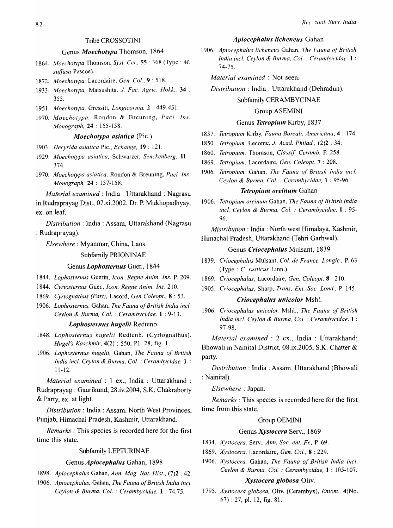# Tribe CROSSOTINI

# Genus *Moechotypa* Thomson, 1864

*1864. Moechotypa* Thomson, *Syst. Cel:,* 55 : 368 (Type: *M.*  suffusa Pascoe).

- *1872. Moechotypa,* Lacordaire, *Gen. Co/.,* 9 : 518.
- *1933. Moechotypa,* Matsushita, J. *Fae. Agrie. Hokk.,* 34 : 355.
- *1951. Moechotypa,* Gressitt, *Longicornia,* 2 : 449-451.
- *1970. Moechotypa,* Rondon & Breuning, *Paci. Ins. Monograph,* 24 : 155-158.

# *Moechotypa asiatica* (Pic.)

*1903. Hecyrida asiatica* Pic., *Echange,* 19 : 121.

- *1929. Moechotypa asiatica,* Schwarzer, *Senckenberg,* 11 : 374.
- *1970. Moechotypa asiatica,* Rondon & Breuning, *Paci. Ins. Monograph,* 24 : 157-158.

*Material examined:* India: Uttarakhand : Nagrasu

in Rudraprayag Dist., 07.xi.2002, Dr. P. Mukhopadhyay, ex. on leaf.

*Distribution:* India: Assam, Uttarakhand (Nagrasu : Rudraprayag).

*Elsewhere:* Myanmar, China, Laos.

# Subfamily PRIONINAE

## Genus *Lophosternus* Guer., 1844

- *1844. Lophosternus* Guerin, *Icon. Regne Anim. Ins.* P. 209.
- *1844. Cyrtosternus* Guer., *Icon. Regne Anim. Ins.* 210.
- *1869. Cyrtognathus (Part),* Lacord, *Gen Coleopt.,* 8 : 53.
- *1906. Lophosternus,* Gahan, *The Fauna of British India incl. Ceylon* & *Burma, Col.* : *Cerambycidae,* 1 : 9-13.

# *Lophosternus hugelii* Redtenb.

- *1848. Lophosternus hugelii* Redtenb. (Cyrtognathus). *Hugel's Kaschmir,* 4(2) : 550, PI. 28, fig. 1.
- *1906. Lophosternus hugelii,* Gahan, *The Fauna of British India incl. Ceylon* & *Burma, Col.* : *Cerambycidae,* 1 11-12.

*Material examined:* 1 ex., India : Uttarakhand : Rudraprayag : Gaurikund, 28.iv.2004, S.K. Chakraborty & Party, ex. at light.

*Distribution:* India: Assam, North West Provinces, Punjab, Himachal Pradesh, Kashmir, Uttarakhand.

*Remarks* : This species is recorded here for the first time this state.

#### Subfamily LEPTURINAE

#### Genus *Apiocephalus* Gahan, 1898

- *1898. Apiocephalus* Gahan, *Ann. Mag. Nat. Hist.,* (7)2 : 42.
- *1906. Apiocephalus,* Gahan, *The Fauna of British India incl. Ceylon* & *Burma. Col.* : *Cerambycidae,* 1 : 74.75.

# *Apiocephalus Iicheneus* Gahan

1906. Apiocephalus licheneus Gahan, *The Fauna of British India incl. Ceylon & Burma, Col.: Cerambycidae, 1:* 74-75.

*Material examined:* Not seen.

*Distribution:* India: Uttarakhand (Dehradun).

## Subfamily CERAMBYCINAE

# Group ASEMINI

# Genus *Tetropium* Kirby, 1837

- *1837. Tetropium* Kirby, *Fauna Boreali. Americana,* 4 : 174.
- *1850. Tetropium,* Leconte, J. *Acad Phi/ad,* (2)2 : 34.
- *1860. Tetropium.* Thomson, *Class* if. *Ceramb.* P. 258.
- *1869. Tetropium,* Lacordaire, *Gen. Coleopt.* 7 : 208.
- *1906. Tetropium,* Gahan, *The Fauna vf British India inc/. Ceylon* & *Burma, Col.* : *Ceramhycidae.* 1 : 95-96.

#### *Tetropillm oreinum* Gahan

*1906. Tetropium oreinum* Gahan, *The Fauna of British India incl. Ceylon* & *Burma, Col.* : *Cerambycidae,* 1 : 95- 96.

*Mistribution* : India: North west Himalaya, Kashmir, Himachal Pradesh, Uttarakhand (Tehri Garhwal).

## Genus *Criocephalus* Mulsant, 1839

- *1839. Criocephalus* Mulsant, *Col. de France, Longic.,* P. 63 (Type : C. *rusticus* Linn.).
- *1869. Criocephalus,* Lacordaire, *Gen. Coleopt.* 8 : 210.
- *1905. Criocephalus,* Sharp, *Trans, Ent. Soc. Lond,* P. 145.

#### *Criocephalus unicolor* MshL

1906. Criocephalus unicolor, Mshl., The Fauna of British *India incl. Ceylon* & *Burma, Col.* : *Cerambycidae,* 1 : 97-98.

*Material examined* : 2 ex., India : Uttarakhand; Bhowali in Nainital District, 08.ix.2005, S.K. Chatter & party.

*Distribution* : India: Assam, Uttarakhand (Bhowali : Nainital).

*Elsewhere* : Japan.

*Remarks* : This species is recorded here for the first time from this state.

## Group OEMINI

#### Genus *Xystocera* Serv., 1869

- *1834. Xystocera,* Serv., *Ann. Soc. ent. Fr.,* P. 69.
- *1869. Xystocera,* Lacordaire, *Gen. Col.,* 8 : 229.
- *1906. Xystocera,* Gahan, *The Fauna of British India incl. Ceylon* & *Burma. Col.* : *Cerambycidae,* 1 : 105-107.

## *Xystocera globosa* Oliv.

1795. Xystocera globosa, Oliv. (Cerambyx), *Entom.*, 4(No. 67) : 27, pI. 12, fig. 81.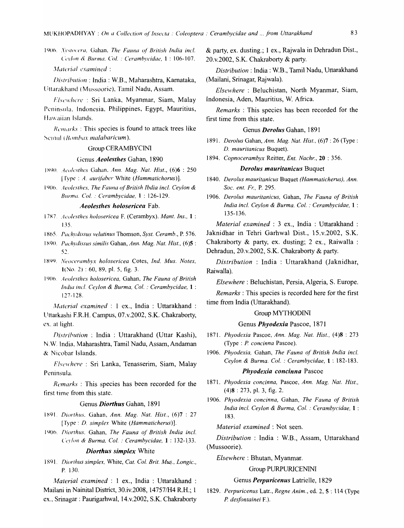1906. *Xystocera*, Gahan, *The Fauna of British India incl.* Ceylon & *Burma*, *Col. : Cerambycidae*, **1** : 106-107.

*,\lllterial examined:* 

*Dis(rihuriol1* : India: W.B., Maharashtra, Kamataka, Uttarakhand (Mussoorie), Tamil Nadu, Assam.

*Flst'H'm:re* : Sri Lanka, Myanmar, Siam, Malay Peninsula, Indonesia, Philippines, Egypt, Mauritius, Hawaiian Islands.

 $Remarks: This species is found to attack trees like$ Semul *(Bombax malabaricum)*.

## Group CERAMBYCINI

#### Genus *Aeolesthes* Gahan, 1890

J X9() . . *.J{'o/L'sthes* Gahan, *Ann. Mag. Nat. Hist.,* (6)6 : 250 [Type: *A. aurifaber White (Hammatichorus)*].

1906. *Aeolesthes, The Fauna of British Ibdia incl. Ceylon & Blirma. Col.* : *Cerambycidae,* 1 : 126-129.

#### *Aeolesthes holosericea* Fab.

*17':<7. At'o/esrhes holosericea* F. (Cerambyx). *Mant. Ins.,* 1 : US.

- 1865. Pachydissus velutinus Thomson, Syst. Ceramb., P. 576.
- 1 ~9(). *PuchydisSIiS similis* Gahan, *Ann. Mag. Nat. Hist.,* (6)5 : 52.

1899. *Neocerambyx holosericea* Cotes, *Ind. Mus. Notes,*  $1(No. 2) : 60, 89,$  pl. 5, fig. 3.

1 ()()6. *Aeo/(:'srhes holosericea,* Gahan, *The Fauna of British India inc!. Ceylon* & *Burma, Col.* : *Cerambyddae,* 1 : 127-128.

*A/aterial examined* : 1 ex., India : Uttarakhand : llttarkashi F.R.H. Campus, 07.v.2002, S.K. Chakraborty, ex. at light.

*Distrihution* : India : Uttarakhand (Uttar Kashi), N.W. India, Maharashtra, Tamil Nadu, Assam, Andaman & Nicobar Islands.

*Flsewhere* : Sri Lanka, Tenasserim, Siam, Malay Peninsula.

*Remarks:* This species has been recorded for the first time from this state.

#### Genus *Diorthus* Gahan, 1891

- I t<91. *Diorthlls.* Gahan, *Ann. Mag. Nat. Hist.,* (6)7 : 27 [Type: *D. simplex* White *(Hammatieherus)].*
- 1406. *Dim'rhus.* Gahan, *The Fauna of British India incl. Ceylon & Burma, Col. : Cerambycidae, 1: 132-133.*

#### *Diorthus simplex* White

1 R91. *Diorrhus simplex,* White, *Cat. Col. Brit. Mus.., Longie.,*  P. 130.

*Afaterial examined:* 1 ex., India: Uttarakhand : Mailani in Nainital District, 30.iv.2008, 147571H4 R.H.; 1 ex., Srinagar: Paurigarhwal, 14.v.2002, S.K. Chakraborty

& party, ex. dusting.; 1 ex., Rajwala in Dehradun Dist., 20. v.2002, S.K. Chakraborty & party.

*Distribution:* India: W.B., Tamil Nadu, Uttarakhand (Mailani, Srinagar, Rajwala).

*Elsewhere* : Beluchistan, North Myanmar, Siam, Indonesia, Aden, Mauritius, W. Africa.

*Remarks* : This species has been recorded for the first time from this state.

#### Genus *Derolus* Gahan, 1891

- 1891. *Derolus* Gahan, *Ann. Mag. Nat. Hist.,* (6)7 : 26 (Type: *D. mauritanieus* Buquet).
- 1894. *Copnocerambyx* Reitter, *Ent. Naehr.,* 20 : 356.

## *Derolus mauritanicus* Buquet

- 1840. *Derolus mauritanicus Buquet (Hammaticherus), Ann. Soc. ent. F,:,* P. 295.
- 1906. *Dero/us mauritanicus,* Gahan, *The Fauna of British India inc!. Ceylon* & *Burma. Col.* : *Cerambycidae,* 1 : 135-136.

*Material examined:* 3 ex., India : Uttarakhand : Jaknidhar in Tehri Garhwal Dist., lS.v.2002, S.K. Chakraborty & party, ex. dusting; 2 ex., Raiwalla : Dehradun, 20.v.2002, S.K. Chakraborty & party.

*Distribution* : India : Uttarakhand (Jaknidhar, Raiwalla).

*Elsewhere:* Beluchistan, Persia, Algeria, S. Europe.

*Remarks* : This species is recorded here for the first time from India (Uttarakhand).

## Group MYTHODINI

## Genus *Phyodexia* Pascoe, 1871

- 187l. *Phyodexia* Pascoe, *Ann. Mag. Nat. Hist.,* (4)8 : 273 (Type : *P. concinna Pascoe*).
- 1906. *Phyodexia,* Gahan, *The Fauna of British India inc!. Ceylon* & *Burma. Col.* : *Cerambycidae,* 1 : 182-183.

#### *Phyodexia concinna* Pascoe

- 1871. *Phyodexia eondnna,* Pascoe, *Ann. Mag. Nat. Hist.,*  (4)8 : 273, pI. 3, fig. 2.
- 1906. Phyodexia concinna, Gahan, The Fauna of British *India inc!. Ceylon* & *Burma, Col.* : *Cerambycidae,* 1 : 183.

*Material examined:* Not seen.

*Distribution* : India : W.B., Assam, Uttarakhand (Mussoorie).

*Elsewhere:* Bhutan, Myanmar.

## Group PURPURICENlNI

## Genus *Perpuricenus* Latrielle, 1829

1829. *Perpuricenus* Latr., *Regne Anim.,* ed. 2, S : 114 (Type *P desfontainei* F).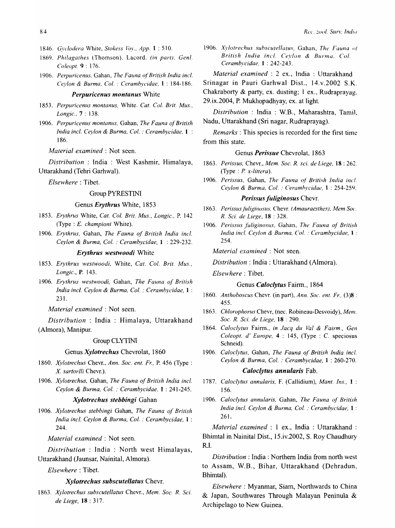- *1846. q'l'c/odera* White, *Stokess* ~uy., *App.* 1 : 510.
- 1869. Philagathes (Thomson). Lacord. (in part), Genl. *Co leopt.* 9 : 176.
- 1906. Perpuricenus, Gahan, The Fauna of British India incl. *Ceylon* & *Burma, Col.* : *Cerambycidae,* 1 : 184-186.

#### *Perpuricenus montanus* White

- 1853. Perpuricenus montanus, White. Cat. Col. Brit. Mus., *Longie.,* 7 : 138.
- *1906. Perpuricenus montanus,* Gahan, *The Fauna of British India incl. Ceylon & Burma, Col. : Cerambycidae, 1 :* 186.

*Material examined:* Not seen.

*Distribution* : India : West Kashmir, Himalaya, Uttarakhand (Tehri Garhwal).

*Elsewhere:* Tibet.

# Group PYRESTINI

## Genus *Erythrus* White, 1853

- *1853. Erythrus* White, *Cat. Col. Brit. Mus., Longic.,* P. 142 (Type : E. *championi* White).
- *1906. Erythrus,* Gahan, *The Fauna of British India incl. Ceylon* & *Burma, Col.* : *Cerambycidae,* 1 : 229-232.

# *Erythrus westwoodi* White

- *1853. Erythrus westwoodi,* White, *Cat. Col. Brit. Mus., Longie.,* P. 143.
- *1906. Erythrus westwoodi,* Gahan, *The Fallna of British India incl. Ceylon* & *Burma, Col.* : *Cerambycidae,* 1 : 231.

*Material examined:* Not seen.

*Distribution* : India : Himalaya, Uttarakhand (Almora), Manipur.

#### Group CLYTINl

## Genus *Xylotrechus* Chevrolat, 1860

- *1860. Xylotreehus* Chevr., *Ann. Soc. ent. Fr.,* P. 456 (Type: *X sartorlli* Chevr.).
- *1906. Xylotreehus,* Gahan, *The Fauna of British India incl. Ceylon* & *Burma, Col.* : *Cerambycidae.* 1 : 241-245.

# *Xylotrechus stebbingi* Gahan

*1906. Xylotrechus stebbingi* Gahan, *The Fauna of British India incl. Ceylon* & *Burma, Col.* : *Cerambycidae,* 1 : 244.

*Material examined:* Not seen.

*Distribution* : India : North west Himalayas, Uttarakhand (Jaunsar, Nainital, Almora).

# *Elsewhere* : Tibet.

# *Xylotrechus subscutellatus* Chevr.

*1863. Xylotrechus subscutellatus* Chevr., *Mem. Soc. R. Sci. de Liege,* 18 : 317.

- 1906. Xylotrechus subscutellatus, Gahan, The Fauna of *British India incl. Ceylon* & *Burma, Col. Cerambyeidae,* 1 : 242-243.
	- *Material examined* : 2 ex., India : Uttarakhand
- Srinagar in Pauri Garhwal Dist.. 14.v.2002 S.K.

Chakraborty & party, ex. dusting; 1 ex., Rudraprayag. 29.ix.2004, P. Mukhopadhyay, ex. at light.

*Distribution* : India: W.B., Maharashtra, Tami1. Nadu, Uttarakhand (Sri nagar, Rudraprayag).

*Remarks:* This species is recorded for the first time from this state.

## Genus *Perissue* Chevrolat, 1863

*1863. Perissus,* Chevr., *Mem. Soc. R. sci. de Liege,* 18 : 262. (Type: P. *x-littera).* 

*1906. Perissus,* Gahan, *The Fauna of British India inc!. Ceylon* & *Burma, Col.* : *Ceramhycidae,* 1 : 254-25'1.

#### *Perissus fliliginosus* Chevr.

- 1863. Perissus fuliginosus, Chevr. *(Amauraesthes)*, Mem Soc. *R. Sci. de Liege,* 18 : 328.
- 1906. Perissus fuliginosus, Gahan, *The Fauna of British India incl. Ceylon* & *Burma. Col.* : *Cerambycidae,* 1 : 254.

*Material examined:* Not seen.

*Distribution:* India: Uttarakhand (Almora).

*Elsewhere:* Tibet.

## Genus *Caloclylus* Fairm., 1864

- *1860. Anthoboseus* Chevr. (in part), *Ann. Soc. ent. Fr.,* (3)8 : 455.
- *1863. Chlorophorus* Chevr, (nec. Robineau-Desvoidy), *Mem. Soc. R. Sci. de Liege,* 18 : 290.
- *1864. Caloclytus* Fairm., *in Jacq du Val* & *Fairm., Gen Coleopt. d' Europe,* 4 : 145, (Type: C. speciosus Schneid).
- *1906. Caloclytus,* Gahan, *The Fauna of British India incl. Ceylon* & *Burma, Col.* : *Cerambycidae,* 1 : 260-270.

# *Caloc/ytus annularis* Fab.

- *1787. Caloclytus annularis,* F. (Callidium), *Mant. Ins.,* 1 : 156.
- *1906. Caloclytus annularis,* Gahan, *The Fauna of British India incl. Ceylon* & *Burma, Col.* : *Cerambycidae,* 1 : 261.

*Material examined* : 1 ex., India : Uttarakhand : Bhimtal in Nainital Dist., 15.iv.2002, S. Roy Chaudhury RI.

*Distribution:* India: Northern India from north west to Assam, W.B., Bihar, Uttarakhand (Dehradun, Bhimtal).

*Elsewhere:* Myanmar, Siam, Northwards to China & Japan, Southwares Through Malayan Peninula & Archipelago to New Guinea.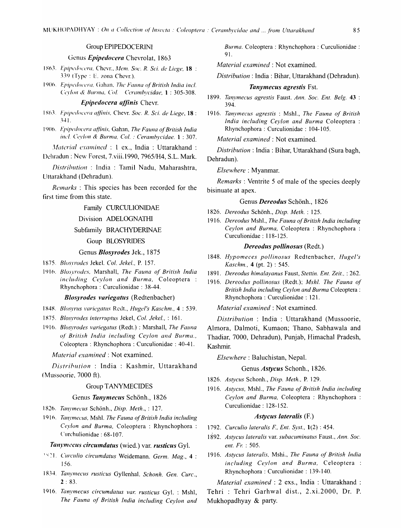# Group EPIPEDOCERINI

# Genus Epipedocera Chevrolat, 1863

1863. Epipedocera, Chevr., Mem. Soc. R. Sci. de Liege, 18 : 339 (Type : E. zona Chevr.).

1906. Epipedocera, Gahan, The Fauna of British India incl. Ceylon & Burma, Col. Cerambycidae, 1:305-308.

# Epipedocera affinis Chevr.

1863. Epipedocera affinis, Chevr. Soc. R. Sci. de Liege, 18 :  $341$ 

1906. Epipedocera affinis, Gahan, The Fauna of British India incl. Cevlon & Burma, Col.: Cerambycidae. 1:307.

Material examined : 1 ex., India : Uttarakhand : Dehradun: New Forest, 7.viii.1990, 7965/H4, S.L. Mark.

Distribution : India : Tamil Nadu, Maharashtra, Uttarakhand (Dehradun).

*Remarks*: This species has been recorded for the first time from this state.

#### Family CURCULIONIDAE

# Division ADELOGNATHI

# Subfamily BRACHYDERINAE

# Goup BLOSYRIDES

#### Genus Blosyrodes Jek., 1875

1875. Blosvrodes Jekel. Col. Jekel., P. 157.

1916. Blosyrodes, Marshall, The Fauna of British India including Ceylon and Burma, Coleoptera: Rhynchophora: Curculionidae: 38-44.

#### **Blosyrodes variegatus (Redtenbacher)**

1848. Blosyrus variegatus Redt., Hugel's Kaschm., 4: 539.

- 1875. Blosyrodes interruptus Jekel, Col. Jekel., : 161.
- 1916. Blosyrodes variegatus (Redt.): Marshall, The Fauna of British India including Ceylon and Burma., Coleoptera: Rhynchophora: Curculionidae: 40-41.

Material examined : Not examined.

Distribution: India: Kashmir, Uttarakhand (Mussoorie, 7000 ft).

#### **Group TANYMECIDES**

#### Genus Tanymecus Schönh., 1826

- 1826. Tanymecus Schönh., Disp. Meth., : 127.
- 1916. Tanymecus, Mshl. The Fauna of British India including Ceylon and Burma, Coleoptera: Rhynchophora: Curchulionidae: 68-107.

#### Tanymecus circumdatus (wied.) var. rusticus Gyl.

- 1821. Curculio circumdatus Weidemann. Germ. Mag., 4: 156.
- 1834. Tanymecus rusticus Gyllenhal. Schonh. Gen. Curc.,  $2:83.$
- 1916. Tanymecus circumdatus var. rusticus Gyl. : Mshl, The Fauna of British India including Ceylon and

Burma. Coleoptera: Rhynchophora: Curculionidae: 91.

Material examined : Not examined.

Distribution: India: Bihar, Uttarakhand (Dehradun).

# Tanymecus agrestis Fst.

- 1899. Tanymecus agrestis Faust. Ann. Soc. Ent. Belg. 43 : 394.
- 1916. Tanymecus agrestis: Mshl., The Fauna of British India including Ceylon and Burma Coleoptera: Rhynchophora: Curculionidae: 104-105.

Material examined : Not examined.

Distribution: India: Bihar, Uttarakhand (Sura bagh, Dehradun).

#### Elsewhere: Myanmar.

*Remarks*: Ventrite 5 of male of the species deeply bisinuate at apex.

# Genus Dereodus Schönh., 1826

- 1826. Dereodus Schönh., Disp. Meth.: 125.
- 1916. Dereodus Mshl., The Fauna of British India including Ceylon and Burma, Coleoptera: Rhynchophora: Curculionidae: 118-125.

# Dereodus pollinosus (Redt.)

- 1848. Hypomeces pollinosus Redtenbacher, Hugel's *Kaschm.*, 4 (pt. 2): 545.
- 1891. Dereodus himalayanus Faust, Stettin. Ent. Zeit., : 262.
- 1916. Dereodus pollinosus (Redt.); Mshl. The Fauna of British India including Ceylon and Burma Coleoptera: Rhynchophora: Curculionidae: 121.

Material examined : Not examined.

Distribution: India: Uttarakhand (Mussoorie, Almora, Dalmoti, Kumaon; Thano, Sabhawala and Thadiar, 7000, Dehradun), Punjab, Himachal Pradesh, Kashmir.

Elsewhere: Baluchistan, Nepal.

## Genus Astycus Schonh., 1826.

1826. Astycus Schonh., Disp. Meth., P. 129.

1916. Astycus, Mshl., The Fauna of British India including Ceylon and Burma, Coleoptera: Rhynchophora: Curculionidae: 128-152.

## Astycus lateralis (F.)

- 1792. Curculio lateralis F., Ent. Syst.,  $1(2)$ : 454.
- 1892. Astycus lateralis var. subacuminatus Faust., Ann. Soc. ent. Fr. : 505.
- 1916. Astycus lateralis, Mshi., The Fauna of British India including Ceylon and Burma, Celeoptera : Rhynchophora: Curculionidae: 139-140.

Material examined : 2 exs., India : Uttarakhand : Tehri : Tehri Garhwal dist., 2.xi.2000, Dr. P. Mukhopadhyay & party.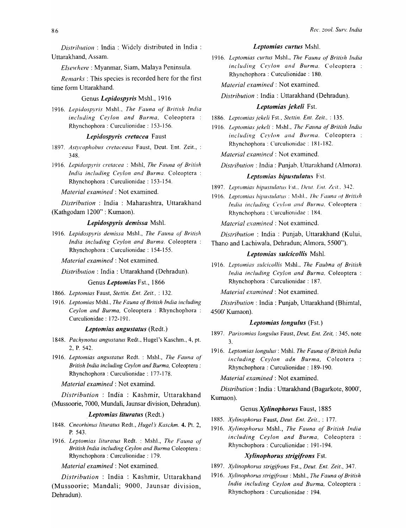*Distribution*: India: Widely distributed in India: Uttarakhand, Assam.

*Elsewhere:* Myanmar, Siam, Malaya Peninsula.

*Remarks:* This species is recorded here for the first time form Uttarakhand.

#### Genus *Lepidospyris* Mshl., 1916

1916. Lepidospyris Mshl., The Fauna of British India *including Ceylon and Burma*, Coleoptera: Rhynchophora : Curculionidae : 153-156.

# *Lepidospyris cretacea* Faust

- *1897. Astycophobus cretaceaus* Faust, Deut. Ent. Zeit., : 348.
- *1916. Lepidospyris cretacea* : Mshl, *The Fauna of British India including Ceylon and Burma.* Coleoptera Rhynchophora : Curculionidae : 153-154.

*Material examined:* Not examined.

*Distribution* : India : Maharashtra, Uttarakhand (Kathgodam 1200" : Kumaon).

# *Lepidospyris demissa* Mshl.

*1916. Lepidospyris demissa* Mshl., *The Fauna of British India including Ceylon and Burma.* Coleoptera Rhynchophora : Curculionidae : 154-155.

*Material examined:* Not examined.

*Distribution:* India: Uttarakhand (Dehradun).

#### Genus *Leptomias* Fst., 1866

- *1866. Leplomias* Faust, *Slettin. Ent. Zeit.,* ; 132.
- *1916. Leptomias* Mshl., *The Fauna of British India including Ceylon and Burma,* Coleoptera : Rhynchophora Curculionidae : 172-191.

# *Leptomias angustatus* (Redt.)

- *1848. Pachynotus angustatus* Redt., Hugel's Kaschm., 4, pt. 2, P. 542.
- *1916. Leptomias angustatus* Redt. : MshI., *The Fauna of British India including Ceylon and Burma,* Coleoptera : Rhynchophora : Curculionidae : 177-178.

*Material examined:* Not examind.

*Distribution* : India : Kashmir, Uttarakhand (Mussoorie, 7000, Mundali, Jaunsar division, Dehradun).

# *. Leptomias lituratus* (Redt.)

- *1848. Cneorhinus lituratus* Redt., *Hugel* s *Kaschm.* 4. Pt. 2, P.543.
- *1916. Leptomias lituratus* Redt. : Mshl., *The Fauna of British India including Ceylon and Burma* Coleoptera: Rhynchophora : Curculionidae : 179.

*Material examined:* Not examined.

*Distribution* : India : Kashmir, Uttarakhand (Mussoorie; Mandali; 9000, Jaunsar division, Dehradun).

# *Leptomias curtus* Mshl.

1916. Leptomias curtus Mshl., *The Fauna of British India including Ceylon and Burma.* Coleoptera Rhynchophora : Curculionidae : 180.

*Material examined:* Not examined.

*Distribution:* India: Uttarakhand (Dehradun).

## *Leptomias jeke/i* Fst.

1886. Leptomias jekeli Fst., *Stettin. Ent. Zeit.*, : 135.

*1916. Leptomias jekeli* : Mshl., *The Fauna of British lndia including Ceylon and Burma.* Coleoptera: Rhynchophora : Curculionidae : 181-182.

*Material examined:* Not examined.

*Distribution:* India: Punjab, Uttarakhand (Almora).

# Leptomias bipustulatus Fst.

- 1897. Leptomias hipustulatus *Fst., Deut. Ent. Zeit.*, 342.
- 1916. Leptomias bipustulatus : Mshl., *The Fauna of British India including Ceylon and Burma, Coleoptera :* Rhynchophora : Curculionidae : 184.

*Material examined:* Not examined.

*Distrihution* : India: Punjab, Uttarakhand (Kului, Thano and Lachiwala, Dehradun; Almora, 5500").

## *Leptomias sulcicollis* Mshl.

*1916. Lepfomias sulcicollis* Mshl., *The Faubna of British India including Ceylon and Burma,* Coleoptera : Rhynchophora : Curculionidae : 187.

*Material examined:* Not examined.

*Distribution:* India: Punjab, Uttarakhand (Bhimtal, 4500' Kumaon).

# *Leptomias longulus* (Fst.)

- *1897. Parisomias longulus* Faust, *Deuf, Ent. Zeit,* : 345, note 3.
- *1916. Leptomias longulus:* Mshl. *The Fauna of British India including Ceylon adn Burma,* Coleotera Rhynchophora : Curculionidae : 189-190.

*Material examined:* Not examined.

*Distribution:* India: Uttarakhand (Bagarkote, 8000', Kumaon).

#### Genus *Xy/inophorus* Faust, 1885

- *1885. Xylinophorus* Faust, *Deut. Ent. Zeit.,* : 177.
- *1916. Xylinophorus* Mshl., *The Fauna of British India including Ceylon and Burma,* Coleoptera Rhynchophora : Curculionidae : 191-194.

# *Xylinophorus strigifrons* Fst.

- *1897. Xylinophorus strigifrons* Fst., *Deut. Ent. Zeit.,* 347.
- *1916. Xylinophorus strigifrons:* Mshl., *The Fauna of British India including Ceylon and Burma,* Coleoptera : Rhynchophora : Curculionidae : 194.